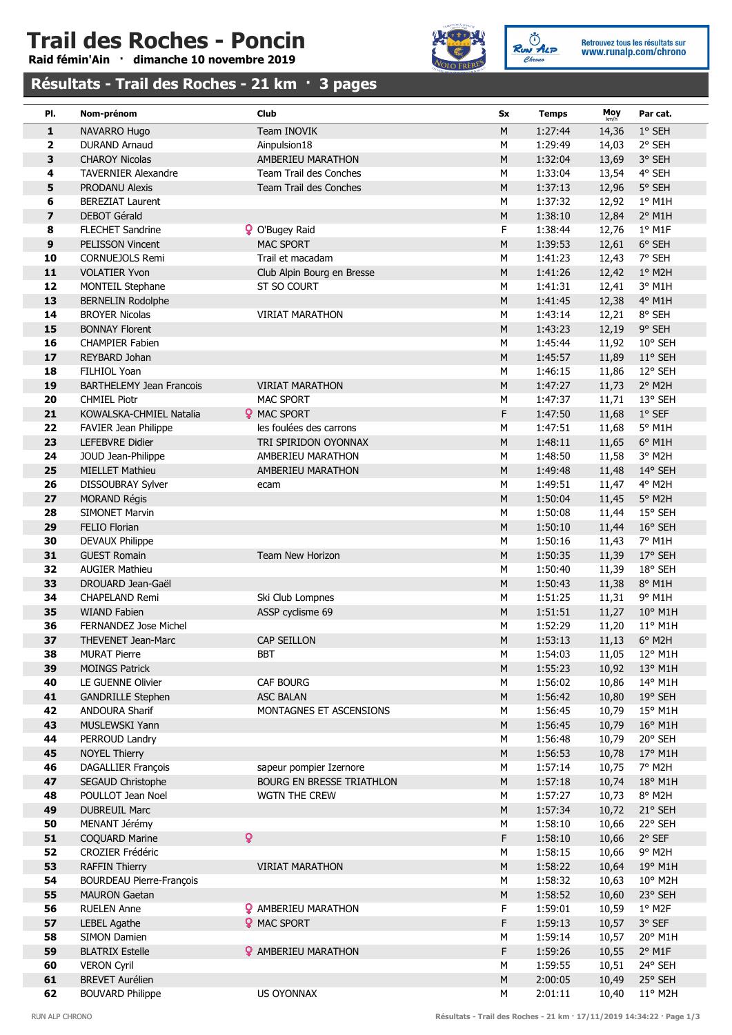## Trail des Roches - Poncin

Raid fémin'Ain · dimanche 10 novembre 2019



Ruw ALP Retrouvez tous les résultats sur<br>WWW.runalp.com/chrono

### Résultats - Trail des Roches - 21 km · 3 pages

| PI.                     | Nom-prénom                                      | Club                             | Sx             | <b>Temps</b>       | Moy<br>km/h    | Par cat.                            |
|-------------------------|-------------------------------------------------|----------------------------------|----------------|--------------------|----------------|-------------------------------------|
| 1                       | NAVARRO Hugo                                    | Team INOVIK                      | ${\sf M}$      | 1:27:44            | 14,36          | $1^\circ$ SEH                       |
| $\overline{\mathbf{2}}$ | <b>DURAND Arnaud</b>                            | Ainpulsion18                     | M              | 1:29:49            | 14,03          | 2° SEH                              |
| 3                       | <b>CHAROY Nicolas</b>                           | AMBERIEU MARATHON                | ${\sf M}$      | 1:32:04            | 13,69          | 3° SEH                              |
| 4                       | <b>TAVERNIER Alexandre</b>                      | Team Trail des Conches           | M              | 1:33:04            | 13,54          | 4° SEH                              |
| 5                       | <b>PRODANU Alexis</b>                           | Team Trail des Conches           | ${\sf M}$      | 1:37:13            | 12,96          | 5° SEH                              |
| 6                       | <b>BEREZIAT Laurent</b>                         |                                  | M              | 1:37:32            | 12,92          | $1°$ M1H                            |
| $\overline{\mathbf{z}}$ | <b>DEBOT Gérald</b>                             |                                  | ${\sf M}$      | 1:38:10            | 12,84          | $2°$ M1H                            |
| 8                       | <b>FLECHET Sandrine</b>                         | <b>Q</b> O'Bugey Raid            | F              | 1:38:44            | 12,76          | $1°$ M1F                            |
| 9                       | <b>PELISSON Vincent</b>                         | <b>MAC SPORT</b>                 | M              | 1:39:53            | 12,61          | 6° SEH                              |
| 10                      | <b>CORNUEJOLS Remi</b>                          | Trail et macadam                 | M              | 1:41:23            | 12,43          | 7° SEH                              |
| 11                      | <b>VOLATIER Yvon</b>                            | Club Alpin Bourg en Bresse       | ${\sf M}$      | 1:41:26            | 12,42          | 1° M2H                              |
| 12                      | MONTEIL Stephane                                | ST SO COURT                      | M              | 1:41:31            | 12,41          | 3° M1H                              |
| 13                      | <b>BERNELIN Rodolphe</b>                        |                                  | $M_{\odot}$    | 1:41:45            | 12,38          | $4^{\circ}$ M1H                     |
| 14                      | <b>BROYER Nicolas</b>                           | <b>VIRIAT MARATHON</b>           | M              | 1:43:14            | 12,21          | 8° SEH                              |
| 15<br>16                | <b>BONNAY Florent</b><br><b>CHAMPIER Fabien</b> |                                  | ${\sf M}$<br>M | 1:43:23<br>1:45:44 | 12,19<br>11,92 | 9° SEH<br>10° SEH                   |
| 17                      | REYBARD Johan                                   |                                  | ${\sf M}$      | 1:45:57            | 11,89          | 11° SEH                             |
| 18                      | FILHIOL Yoan                                    |                                  | M              | 1:46:15            | 11,86          | 12° SEH                             |
| 19                      | <b>BARTHELEMY Jean Francois</b>                 | <b>VIRIAT MARATHON</b>           | ${\sf M}$      | 1:47:27            | 11,73          | 2° M2H                              |
| 20                      | <b>CHMIEL Piotr</b>                             | <b>MAC SPORT</b>                 | M              | 1:47:37            | 11,71          | 13° SEH                             |
| 21                      | KOWALSKA-CHMIEL Natalia                         | <b>Q</b> MAC SPORT               | F              | 1:47:50            | 11,68          | $1°$ SEF                            |
| 22                      | FAVIER Jean Philippe                            | les foulées des carrons          | M              | 1:47:51            | 11,68          | 5° M1H                              |
| 23                      | <b>LEFEBVRE Didier</b>                          | TRI SPIRIDON OYONNAX             | ${\sf M}$      | 1:48:11            | 11,65          | $6^{\circ}$ M1H                     |
| 24                      | JOUD Jean-Philippe                              | AMBERIEU MARATHON                | M              | 1:48:50            | 11,58          | 3° M2H                              |
| 25                      | <b>MIELLET Mathieu</b>                          | AMBERIEU MARATHON                | ${\sf M}$      | 1:49:48            | 11,48          | 14° SEH                             |
| 26                      | DISSOUBRAY Sylver                               | ecam                             | M              | 1:49:51            | 11,47          | 4° M2H                              |
| 27                      | <b>MORAND Régis</b>                             |                                  | ${\sf M}$      | 1:50:04            | 11,45          | 5° M2H                              |
| 28                      | <b>SIMONET Marvin</b>                           |                                  | M              | 1:50:08            | 11,44          | 15° SEH                             |
| 29                      | <b>FELIO Florian</b>                            |                                  | ${\sf M}$      | 1:50:10            | 11,44          | 16° SEH                             |
| 30                      | DEVAUX Philippe                                 |                                  | M              | 1:50:16            | 11,43          | 7° M1H                              |
| 31                      | <b>GUEST Romain</b>                             | Team New Horizon                 | ${\sf M}$      | 1:50:35            | 11,39          | 17° SEH                             |
| 32                      | <b>AUGIER Mathieu</b>                           |                                  | М              | 1:50:40            | 11,39          | 18° SEH                             |
| 33                      | DROUARD Jean-Gaël                               |                                  | ${\sf M}$      | 1:50:43            | 11,38          | 8° M1H                              |
| 34                      | <b>CHAPELAND Remi</b>                           | Ski Club Lompnes                 | M              | 1:51:25            | 11,31          | 9° M1H                              |
| 35                      | <b>WIAND Fabien</b>                             | ASSP cyclisme 69                 | ${\sf M}$      | 1:51:51            | 11,27          | $10^{\circ}$ M1H                    |
| 36<br>37                | FERNANDEZ Jose Michel                           | <b>CAP SEILLON</b>               | M<br>${\sf M}$ | 1:52:29<br>1:53:13 | 11,20          | $11^{\circ}$ M1H<br>$6^{\circ}$ M2H |
| 38                      | THEVENET Jean-Marc<br><b>MURAT Pierre</b>       | <b>BBT</b>                       | ${\sf M}$      | 1:54:03            | 11,13          | 11,05 12° M1H                       |
| 39                      | <b>MOINGS Patrick</b>                           |                                  | $M_{\odot}$    | 1:55:23            | 10,92          | 13° M1H                             |
| 40                      | LE GUENNE Olivier                               | CAF BOURG                        | M              | 1:56:02            | 10,86          | 14° M1H                             |
| 41                      | <b>GANDRILLE Stephen</b>                        | <b>ASC BALAN</b>                 | ${\sf M}$      | 1:56:42            | 10,80          | $19°$ SEH                           |
| 42                      | <b>ANDOURA Sharif</b>                           | MONTAGNES ET ASCENSIONS          | M              | 1:56:45            | 10,79          | 15° M1H                             |
| 43                      | MUSLEWSKI Yann                                  |                                  | ${\sf M}$      | 1:56:45            | 10,79          | 16° M1H                             |
| 44                      | PERROUD Landry                                  |                                  | M              | 1:56:48            | 10,79          | 20° SEH                             |
| 45                      | <b>NOYEL Thierry</b>                            |                                  | $M_{\odot}$    | 1:56:53            | 10,78          | 17° M1H                             |
| 46                      | DAGALLIER François                              | sapeur pompier Izernore          | M              | 1:57:14            | 10,75          | 7° M2H                              |
| 47                      | SEGAUD Christophe                               | <b>BOURG EN BRESSE TRIATHLON</b> | M              | 1:57:18            | 10,74          | 18° M1H                             |
| 48                      | POULLOT Jean Noel                               | <b>WGTN THE CREW</b>             | M              | 1:57:27            | 10,73          | 8° M2H                              |
| 49                      | <b>DUBREUIL Marc</b>                            |                                  | ${\sf M}$      | 1:57:34            | 10,72          | 21° SEH                             |
| 50                      | MENANT Jérémy                                   |                                  | ${\sf M}$      | 1:58:10            | 10,66          | 22° SEH                             |
| 51                      | $\overline{Q}$<br>COQUARD Marine                |                                  | F              | 1:58:10            | 10,66          | 2° SEF                              |
| 52                      | <b>CROZIER Frédéric</b>                         |                                  | M              | 1:58:15            | 10,66          | 9° M2H                              |
| 53                      | <b>RAFFIN Thierry</b>                           | <b>VIRIAT MARATHON</b>           | ${\sf M}$      | 1:58:22            | 10,64          | 19° M1H                             |
| 54                      | <b>BOURDEAU Pierre-François</b>                 |                                  | M              | 1:58:32            | 10,63          | 10° M2H                             |
| 55                      | <b>MAURON Gaetan</b>                            |                                  | ${\sf M}$      | 1:58:52            | 10,60          | 23° SEH                             |
| 56                      | <b>RUELEN Anne</b>                              | <b>2</b> AMBERIEU MARATHON       | F              | 1:59:01            | 10,59          | $1°$ M2F                            |
| 57                      | <b>LEBEL Agathe</b>                             | <b>Q</b> MAC SPORT               | F              | 1:59:13            | 10,57          | 3° SEF                              |
| 58                      | <b>SIMON Damien</b>                             |                                  | M              | 1:59:14            | 10,57          | 20° M1H                             |
| 59                      | <b>BLATRIX Estelle</b>                          | <b>?</b> AMBERIEU MARATHON       | F<br>M         | 1:59:26            | 10,55          | $2^{\circ}$ M1F                     |
| 60<br>61                | <b>VERON Cyril</b><br><b>BREVET Aurélien</b>    |                                  | ${\sf M}$      | 1:59:55<br>2:00:05 | 10,51<br>10,49 | 24° SEH<br>25° SEH                  |
| 62                      | <b>BOUVARD Philippe</b>                         | US OYONNAX                       | ${\sf M}$      | 2:01:11            | 10,40          | 11° M2H                             |
|                         |                                                 |                                  |                |                    |                |                                     |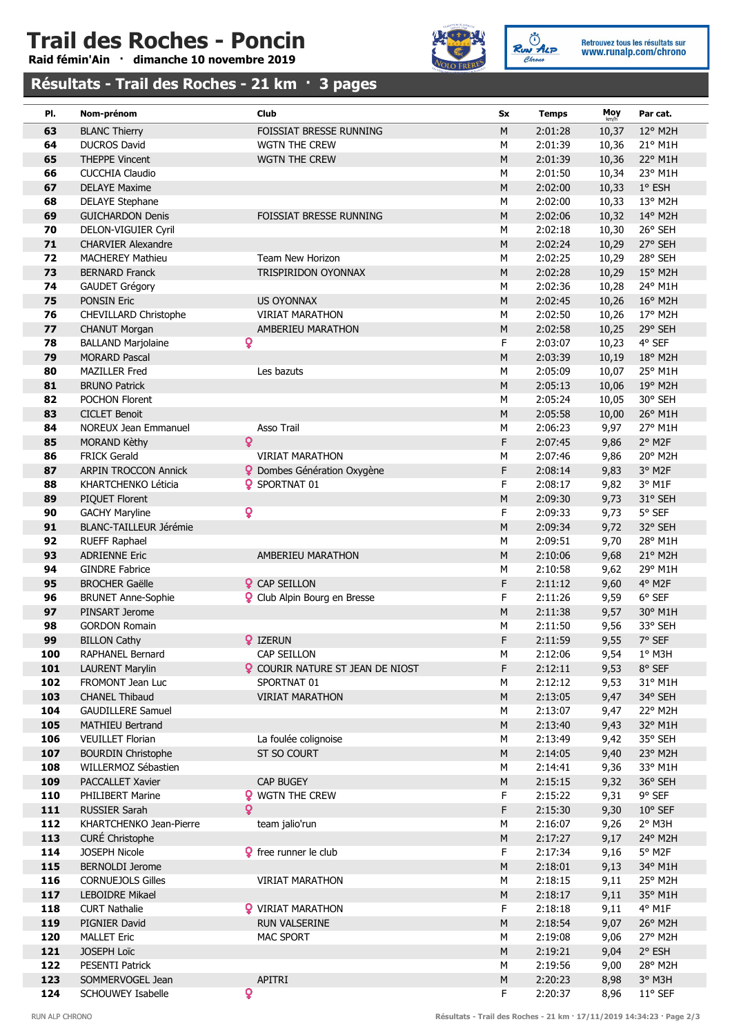# Trail des Roches - Poncin

Raid fémin'Ain · dimanche 10 novembre 2019



Ruw ALP Retrouvez tous les résultats sur<br>www.runalp.com/chrono

#### Résultats - Trail des Roches - 21 km · 3 pages

| PI. | Nom-prénom                    | Club                                    | Sx          | <b>Temps</b> | Moy<br>km/h | Par cat.         |
|-----|-------------------------------|-----------------------------------------|-------------|--------------|-------------|------------------|
| 63  | <b>BLANC Thierry</b>          | FOISSIAT BRESSE RUNNING                 | ${\sf M}$   | 2:01:28      | 10,37       | 12° M2H          |
| 64  | <b>DUCROS David</b>           | WGTN THE CREW                           | М           | 2:01:39      | 10,36       | 21° M1H          |
| 65  | <b>THEPPE Vincent</b>         | <b>WGTN THE CREW</b>                    | ${\sf M}$   | 2:01:39      | 10,36       | 22° M1H          |
| 66  | <b>CUCCHIA Claudio</b>        |                                         | M           | 2:01:50      | 10,34       | 23° M1H          |
| 67  | <b>DELAYE Maxime</b>          |                                         | ${\sf M}$   | 2:02:00      | 10,33       | 1° ESH           |
| 68  | <b>DELAYE Stephane</b>        |                                         | M           | 2:02:00      | 10,33       | 13° M2H          |
| 69  | <b>GUICHARDON Denis</b>       | FOISSIAT BRESSE RUNNING                 | $M_{\odot}$ | 2:02:06      | 10,32       | 14° M2H          |
| 70  | DELON-VIGUIER Cyril           |                                         | M           | 2:02:18      | 10,30       | 26° SEH          |
| 71  | <b>CHARVIER Alexandre</b>     |                                         | M           | 2:02:24      | 10,29       | 27° SEH          |
| 72  | <b>MACHEREY Mathieu</b>       | Team New Horizon                        | M           | 2:02:25      | 10,29       | 28° SEH          |
| 73  | <b>BERNARD Franck</b>         | TRISPIRIDON OYONNAX                     | ${\sf M}$   | 2:02:28      | 10,29       | $15^{\circ}$ M2H |
| 74  | <b>GAUDET Grégory</b>         |                                         | ${\sf M}$   | 2:02:36      | 10,28       | 24° M1H          |
| 75  | PONSIN Eric                   | US OYONNAX                              | M           | 2:02:45      | 10,26       | 16° M2H          |
| 76  | CHEVILLARD Christophe         | <b>VIRIAT MARATHON</b>                  | М           | 2:02:50      | 10,26       | 17° M2H          |
| 77  | <b>CHANUT Morgan</b>          | AMBERIEU MARATHON                       | M           | 2:02:58      | 10,25       | 29° SEH          |
| 78  | <b>BALLAND Marjolaine</b>     | Q                                       | F           | 2:03:07      | 10,23       | 4° SEF           |
| 79  | <b>MORARD Pascal</b>          |                                         | ${\sf M}$   | 2:03:39      | 10,19       | 18° M2H          |
| 80  | <b>MAZILLER Fred</b>          | Les bazuts                              | M           | 2:05:09      | 10,07       | 25° M1H          |
| 81  | <b>BRUNO Patrick</b>          |                                         | $M_{\odot}$ | 2:05:13      | 10,06       | 19° M2H          |
| 82  | POCHON Florent                |                                         | M           | 2:05:24      | 10,05       | 30° SEH          |
| 83  | <b>CICLET Benoit</b>          |                                         | M           | 2:05:58      | 10,00       | 26° M1H          |
| 84  | NOREUX Jean Emmanuel          | Asso Trail                              | M           | 2:06:23      | 9,97        | 27° M1H          |
| 85  | <b>MORAND Kèthy</b>           | ò                                       | F           | 2:07:45      | 9,86        | 2° M2F           |
| 86  | <b>FRICK Gerald</b>           | <b>VIRIAT MARATHON</b>                  | М           | 2:07:46      | 9,86        | 20° M2H          |
| 87  | <b>ARPIN TROCCON Annick</b>   | <b>O</b> Dombes Génération Oxygène      | F           | 2:08:14      | 9,83        | 3° M2F           |
| 88  | KHARTCHENKO Léticia           | <b>?</b> SPORTNAT 01                    | F           | 2:08:17      | 9,82        | 3° M1F           |
| 89  | PIQUET Florent                |                                         | ${\sf M}$   | 2:09:30      | 9,73        | 31° SEH          |
| 90  | <b>GACHY Maryline</b>         | ò                                       | F           | 2:09:33      | 9,73        | 5° SEF           |
| 91  | <b>BLANC-TAILLEUR Jérémie</b> |                                         | ${\sf M}$   | 2:09:34      | 9,72        | 32° SEH          |
| 92  | RUEFF Raphael                 |                                         | M           | 2:09:51      | 9,70        | 28° M1H          |
| 93  | <b>ADRIENNE Eric</b>          | AMBERIEU MARATHON                       | $M_{\odot}$ | 2:10:06      | 9,68        | 21° M2H          |
| 94  | <b>GINDRE Fabrice</b>         |                                         | М           | 2:10:58      | 9,62        | 29° M1H          |
| 95  | <b>BROCHER Gaëlle</b>         | <b>Q</b> CAP SEILLON                    | F           | 2:11:12      | 9,60        | 4° M2F           |
| 96  | <b>BRUNET Anne-Sophie</b>     | <b>Q</b> Club Alpin Bourg en Bresse     | F           | 2:11:26      | 9,59        | $6^{\circ}$ SEF  |
| 97  | PINSART Jerome                |                                         | ${\sf M}$   | 2:11:38      | 9,57        | 30° M1H          |
| 98  | <b>GORDON Romain</b>          |                                         | M           | 2:11:50      | 9,56        | 33° SEH          |
| 99  | <b>BILLON Cathy</b>           | <b>Q</b> IZERUN                         | F           | 2:11:59      | 9,55        | 7° SEF           |
| 100 | RAPHANEL Bernard              | CAP SEILLON                             | ${\sf M}$   | 2:12:06      |             | 9,54 1° M3H      |
| 101 | <b>LAURENT Marylin</b>        | <b>Q</b> COURIR NATURE ST JEAN DE NIOST | F           | 2:12:11      | 9,53        | 8° SEF           |
| 102 | FROMONT Jean Luc              | SPORTNAT 01                             | M           | 2:12:12      | 9,53        | 31° M1H          |
| 103 | <b>CHANEL Thibaud</b>         | <b>VIRIAT MARATHON</b>                  | ${\sf M}$   | 2:13:05      | 9,47        | 34° SEH          |
| 104 | <b>GAUDILLERE Samuel</b>      |                                         | M           | 2:13:07      | 9,47        | 22° M2H          |
| 105 | <b>MATHIEU Bertrand</b>       |                                         | $M_{\odot}$ | 2:13:40      | 9,43        | 32° M1H          |
| 106 | <b>VEUILLET Florian</b>       | La foulée colignoise                    | М           | 2:13:49      | 9,42        | 35° SEH          |
| 107 | <b>BOURDIN Christophe</b>     | ST SO COURT                             | M           | 2:14:05      | 9,40        | 23° M2H          |
| 108 | WILLERMOZ Sébastien           |                                         | M           | 2:14:41      | 9,36        | 33° M1H          |
| 109 | <b>PACCALLET Xavier</b>       | <b>CAP BUGEY</b>                        | M           | 2:15:15      | 9,32        | 36° SEH          |
| 110 | PHILIBERT Marine              | <b>?</b> WGTN THE CREW                  | F           | 2:15:22      | 9,31        | 9° SEF           |
| 111 | <b>RUSSIER Sarah</b>          | ò                                       | F           | 2:15:30      | 9,30        | 10° SEF          |
| 112 | KHARTCHENKO Jean-Pierre       | team jalio'run                          | М           | 2:16:07      | 9,26        | 2° M3H           |
| 113 | CURÉ Christophe               |                                         | M           | 2:17:27      | 9,17        | 24° M2H          |
| 114 | JOSEPH Nicole                 | <b>9</b> free runner le club            | F           | 2:17:34      | 9,16        | 5° M2F           |
| 115 | <b>BERNOLDI Jerome</b>        |                                         | ${\sf M}$   | 2:18:01      | 9,13        | 34° M1H          |
| 116 | <b>CORNUEJOLS Gilles</b>      | <b>VIRIAT MARATHON</b>                  | M           | 2:18:15      | 9,11        | 25° M2H          |
| 117 | LEBOIDRE Mikael               |                                         | $M_{\odot}$ | 2:18:17      | 9,11        | 35° M1H          |
| 118 | <b>CURT Nathalie</b>          | <b>?</b> VIRIAT MARATHON                | F           | 2:18:18      | 9,11        | 4° M1F           |
| 119 | PIGNIER David                 | RUN VALSERINE                           | $M_{\odot}$ | 2:18:54      | 9,07        | 26° M2H          |
| 120 | <b>MALLET Eric</b>            | <b>MAC SPORT</b>                        | M           | 2:19:08      | 9,06        | 27° M2H          |
| 121 | <b>JOSEPH Loïc</b>            |                                         | M           | 2:19:21      | 9,04        | 2° ESH           |
| 122 | <b>PESENTI Patrick</b>        |                                         | М           | 2:19:56      | 9,00        | 28° M2H          |
| 123 | SOMMERVOGEL Jean              | APITRI                                  | ${\sf M}$   | 2:20:23      | 8,98        | 3° M3H           |
| 124 | SCHOUWEY Isabelle             | ò                                       | F           | 2:20:37      | 8,96        | $11^{\circ}$ SEF |